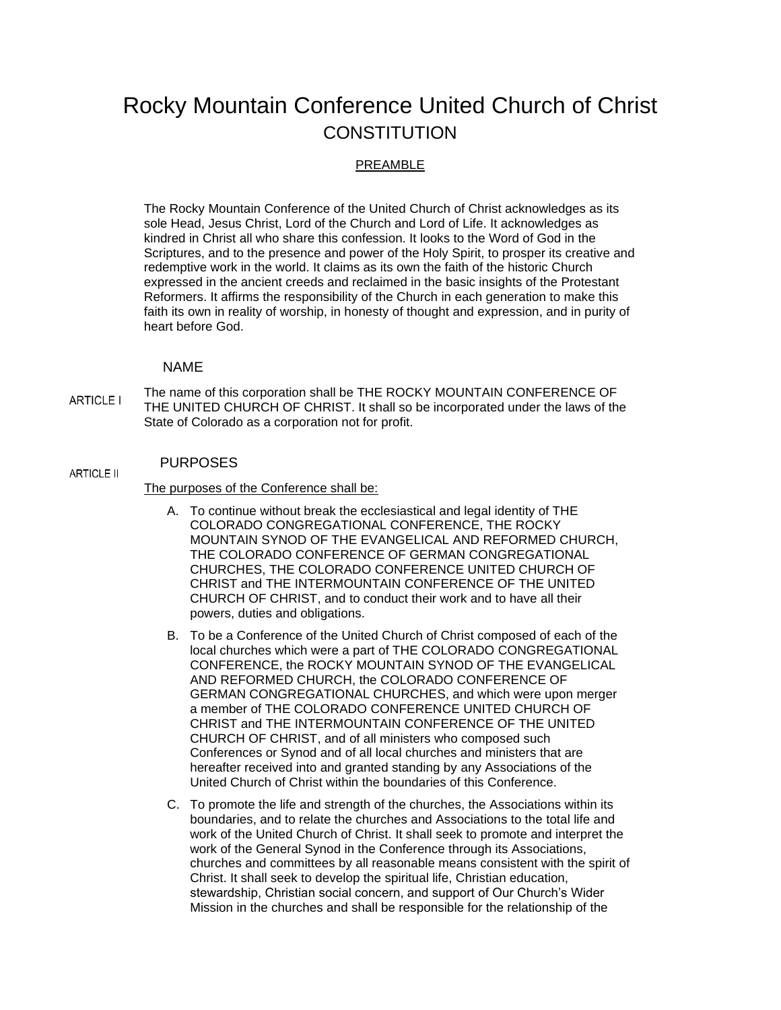# Rocky Mountain Conference United Church of Christ **CONSTITUTION**

### PREAMBLE

The Rocky Mountain Conference of the United Church of Christ acknowledges as its sole Head, Jesus Christ, Lord of the Church and Lord of Life. It acknowledges as kindred in Christ all who share this confession. It looks to the Word of God in the Scriptures, and to the presence and power of the Holy Spirit, to prosper its creative and redemptive work in the world. It claims as its own the faith of the historic Church expressed in the ancient creeds and reclaimed in the basic insights of the Protestant Reformers. It affirms the responsibility of the Church in each generation to make this faith its own in reality of worship, in honesty of thought and expression, and in purity of heart before God.

#### NAME

The name of this corporation shall be THE ROCKY MOUNTAIN CONFERENCE OF **ARTICLE I** THE UNITED CHURCH OF CHRIST. It shall so be incorporated under the laws of the State of Colorado as a corporation not for profit.

#### PURPOSES

**ARTICLE II** 

#### The purposes of the Conference shall be:

- A. To continue without break the ecclesiastical and legal identity of THE COLORADO CONGREGATIONAL CONFERENCE, THE ROCKY MOUNTAIN SYNOD OF THE EVANGELICAL AND REFORMED CHURCH, THE COLORADO CONFERENCE OF GERMAN CONGREGATIONAL CHURCHES, THE COLORADO CONFERENCE UNITED CHURCH OF CHRIST and THE INTERMOUNTAIN CONFERENCE OF THE UNITED CHURCH OF CHRIST, and to conduct their work and to have all their powers, duties and obligations.
- B. To be a Conference of the United Church of Christ composed of each of the local churches which were a part of THE COLORADO CONGREGATIONAL CONFERENCE, the ROCKY MOUNTAIN SYNOD OF THE EVANGELICAL AND REFORMED CHURCH, the COLORADO CONFERENCE OF GERMAN CONGREGATIONAL CHURCHES, and which were upon merger a member of THE COLORADO CONFERENCE UNITED CHURCH OF CHRIST and THE INTERMOUNTAIN CONFERENCE OF THE UNITED CHURCH OF CHRIST, and of all ministers who composed such Conferences or Synod and of all local churches and ministers that are hereafter received into and granted standing by any Associations of the United Church of Christ within the boundaries of this Conference.
- C. To promote the life and strength of the churches, the Associations within its boundaries, and to relate the churches and Associations to the total life and work of the United Church of Christ. It shall seek to promote and interpret the work of the General Synod in the Conference through its Associations, churches and committees by all reasonable means consistent with the spirit of Christ. It shall seek to develop the spiritual life, Christian education, stewardship, Christian social concern, and support of Our Church's Wider Mission in the churches and shall be responsible for the relationship of the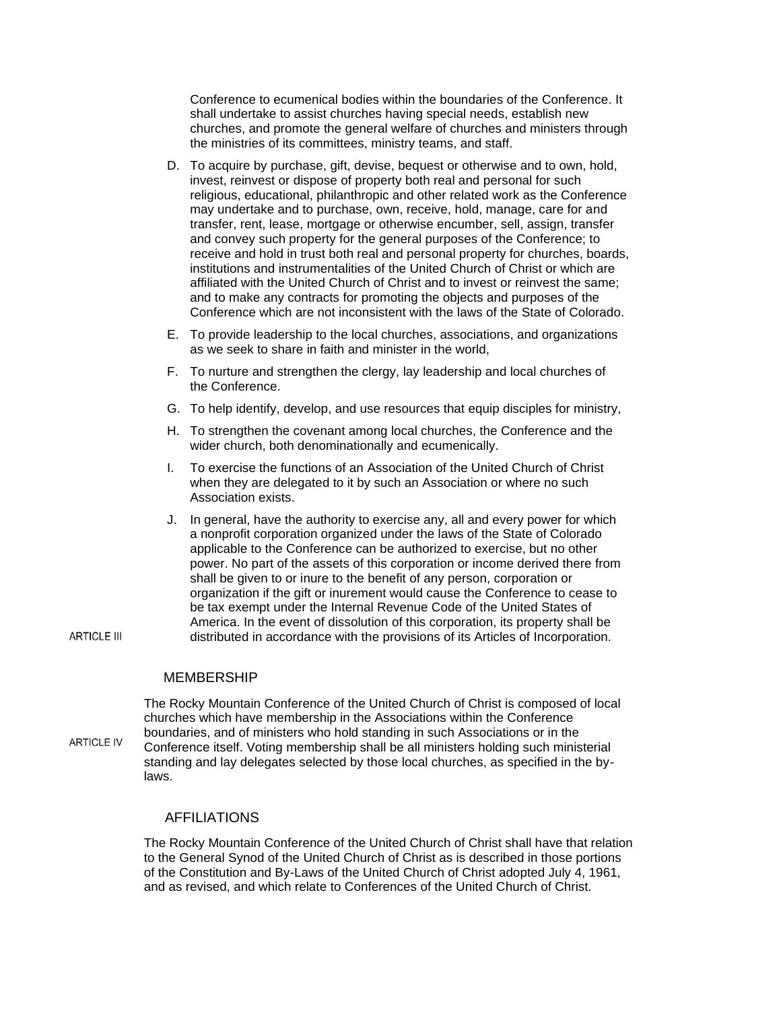Conference to ecumenical bodies within the boundaries of the Conference. It shall undertake to assist churches having special needs, establish new churches, and promote the general welfare of churches and ministers through the ministries of its committees, ministry teams, and staff.

- D. To acquire by purchase, gift, devise, bequest or otherwise and to own, hold, invest, reinvest or dispose of property both real and personal for such religious, educational, philanthropic and other related work as the Conference may undertake and to purchase, own, receive, hold, manage, care for and transfer, rent, lease, mortgage or otherwise encumber, sell, assign, transfer and convey such property for the general purposes of the Conference; to receive and hold in trust both real and personal property for churches, boards, institutions and instrumentalities of the United Church of Christ or which are affiliated with the United Church of Christ and to invest or reinvest the same; and to make any contracts for promoting the objects and purposes of the Conference which are not inconsistent with the laws of the State of Colorado.
- E. To provide leadership to the local churches, associations, and organizations as we seek to share in faith and minister in the world,
- F. To nurture and strengthen the clergy, lay leadership and local churches of the Conference.
- G. To help identify, develop, and use resources that equip disciples for ministry,
- H. To strengthen the covenant among local churches, the Conference and the wider church, both denominationally and ecumenically.
- I. To exercise the functions of an Association of the United Church of Christ when they are delegated to it by such an Association or where no such Association exists.
- J. In general, have the authority to exercise any, all and every power for which a nonprofit corporation organized under the laws of the State of Colorado applicable to the Conference can be authorized to exercise, but no other power. No part of the assets of this corporation or income derived there from shall be given to or inure to the benefit of any person, corporation or organization if the gift or inurement would cause the Conference to cease to be tax exempt under the Internal Revenue Code of the United States of America. In the event of dissolution of this corporation, its property shall be distributed in accordance with the provisions of its Articles of Incorporation.

MEMBERSHIP

The Rocky Mountain Conference of the United Church of Christ is composed of local churches which have membership in the Associations within the Conference boundaries, and of ministers who hold standing in such Associations or in the **ARTICLE IV** Conference itself. Voting membership shall be all ministers holding such ministerial standing and lay delegates selected by those local churches, as specified in the bylaws.

### AFFILIATIONS

The Rocky Mountain Conference of the United Church of Christ shall have that relation to the General Synod of the United Church of Christ as is described in those portions of the Constitution and By-Laws of the United Church of Christ adopted July 4, 1961, and as revised, and which relate to Conferences of the United Church of Christ.

**ARTICLE III**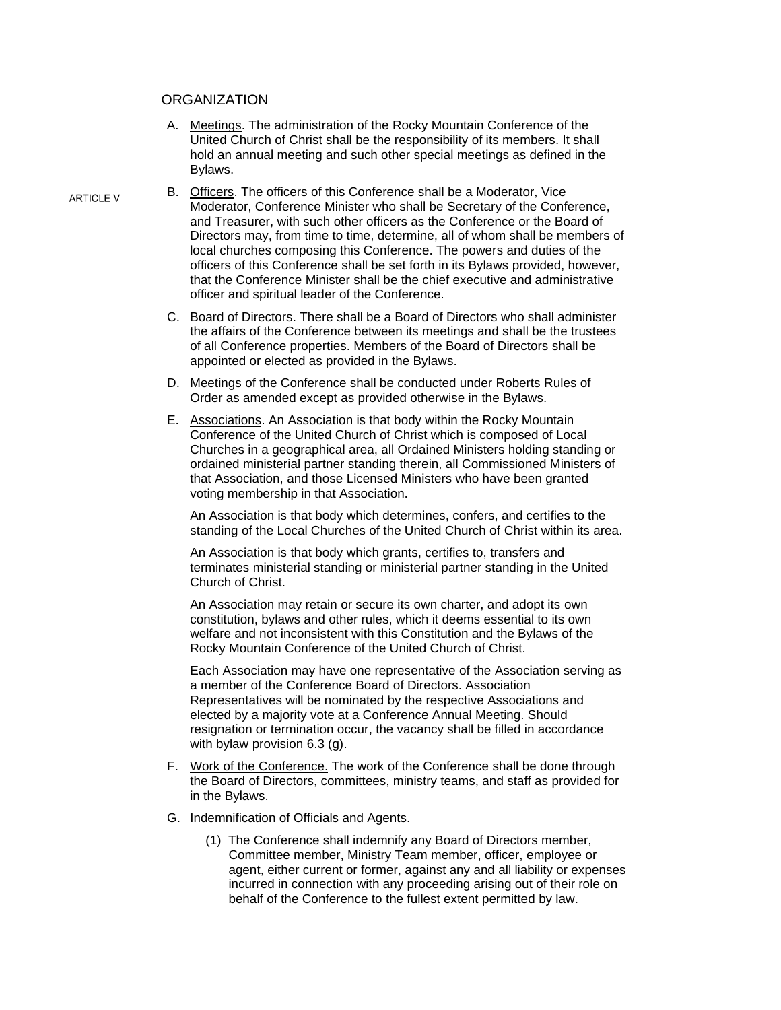#### **ORGANIZATION**

- A. Meetings. The administration of the Rocky Mountain Conference of the United Church of Christ shall be the responsibility of its members. It shall hold an annual meeting and such other special meetings as defined in the Bylaws.
- B. Officers. The officers of this Conference shall be a Moderator, Vice Moderator, Conference Minister who shall be Secretary of the Conference, and Treasurer, with such other officers as the Conference or the Board of Directors may, from time to time, determine, all of whom shall be members of local churches composing this Conference. The powers and duties of the officers of this Conference shall be set forth in its Bylaws provided, however, that the Conference Minister shall be the chief executive and administrative officer and spiritual leader of the Conference.
	- C. Board of Directors. There shall be a Board of Directors who shall administer the affairs of the Conference between its meetings and shall be the trustees of all Conference properties. Members of the Board of Directors shall be appointed or elected as provided in the Bylaws.
	- D. Meetings of the Conference shall be conducted under Roberts Rules of Order as amended except as provided otherwise in the Bylaws.
	- E. Associations. An Association is that body within the Rocky Mountain Conference of the United Church of Christ which is composed of Local Churches in a geographical area, all Ordained Ministers holding standing or ordained ministerial partner standing therein, all Commissioned Ministers of that Association, and those Licensed Ministers who have been granted voting membership in that Association.

An Association is that body which determines, confers, and certifies to the standing of the Local Churches of the United Church of Christ within its area.

An Association is that body which grants, certifies to, transfers and terminates ministerial standing or ministerial partner standing in the United Church of Christ.

An Association may retain or secure its own charter, and adopt its own constitution, bylaws and other rules, which it deems essential to its own welfare and not inconsistent with this Constitution and the Bylaws of the Rocky Mountain Conference of the United Church of Christ.

Each Association may have one representative of the Association serving as a member of the Conference Board of Directors. Association Representatives will be nominated by the respective Associations and elected by a majority vote at a Conference Annual Meeting. Should resignation or termination occur, the vacancy shall be filled in accordance with bylaw provision 6.3 (g).

- F. Work of the Conference. The work of the Conference shall be done through the Board of Directors, committees, ministry teams, and staff as provided for in the Bylaws.
- G. Indemnification of Officials and Agents.
	- (1) The Conference shall indemnify any Board of Directors member, Committee member, Ministry Team member, officer, employee or agent, either current or former, against any and all liability or expenses incurred in connection with any proceeding arising out of their role on behalf of the Conference to the fullest extent permitted by law.

**ARTICLE V**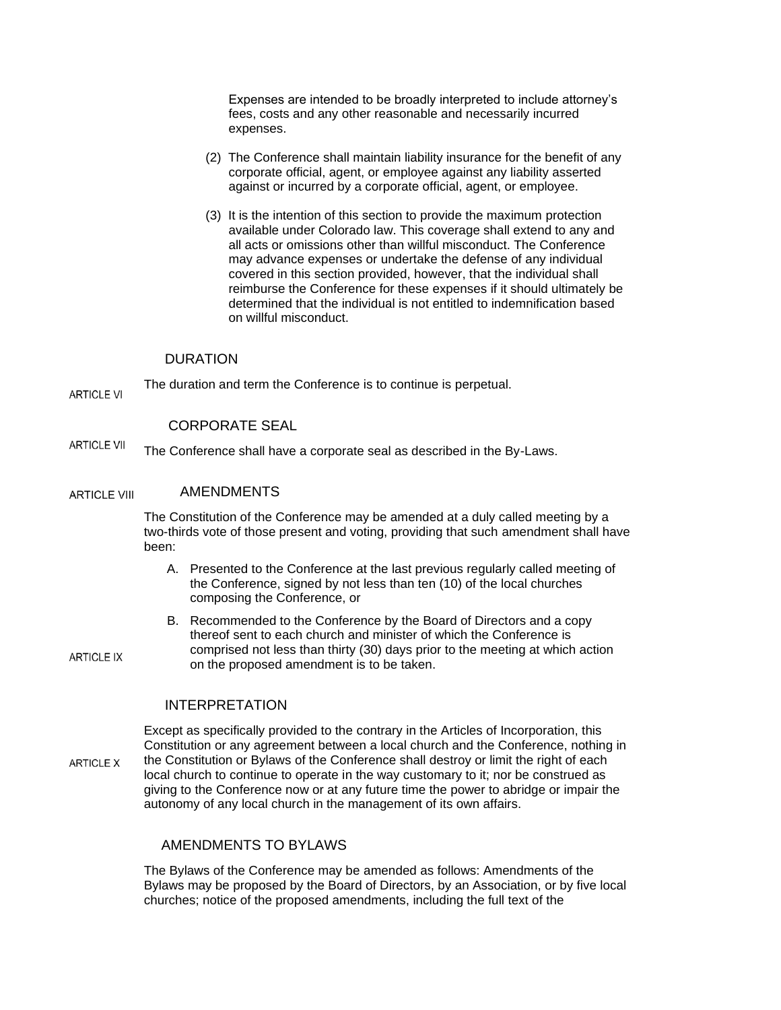Expenses are intended to be broadly interpreted to include attorney's fees, costs and any other reasonable and necessarily incurred expenses.

- (2) The Conference shall maintain liability insurance for the benefit of any corporate official, agent, or employee against any liability asserted against or incurred by a corporate official, agent, or employee.
- (3) It is the intention of this section to provide the maximum protection available under Colorado law. This coverage shall extend to any and all acts or omissions other than willful misconduct. The Conference may advance expenses or undertake the defense of any individual covered in this section provided, however, that the individual shall reimburse the Conference for these expenses if it should ultimately be determined that the individual is not entitled to indemnification based on willful misconduct.

#### DURATION

The duration and term the Conference is to continue is perpetual. **ARTICLE VI** 

**ARTICLE IX** 

#### CORPORATE SEAL

**ARTICLE VII** The Conference shall have a corporate seal as described in the By-Laws.

#### AMENDMENTS **ARTICLE VIII**

The Constitution of the Conference may be amended at a duly called meeting by a two-thirds vote of those present and voting, providing that such amendment shall have been:

- A. Presented to the Conference at the last previous regularly called meeting of the Conference, signed by not less than ten (10) of the local churches composing the Conference, or
- B. Recommended to the Conference by the Board of Directors and a copy thereof sent to each church and minister of which the Conference is comprised not less than thirty (30) days prior to the meeting at which action on the proposed amendment is to be taken.

#### INTERPRETATION

Except as specifically provided to the contrary in the Articles of Incorporation, this Constitution or any agreement between a local church and the Conference, nothing in the Constitution or Bylaws of the Conference shall destroy or limit the right of each **ARTICLE X** local church to continue to operate in the way customary to it; nor be construed as giving to the Conference now or at any future time the power to abridge or impair the autonomy of any local church in the management of its own affairs.

### AMENDMENTS TO BYLAWS

The Bylaws of the Conference may be amended as follows: Amendments of the Bylaws may be proposed by the Board of Directors, by an Association, or by five local churches; notice of the proposed amendments, including the full text of the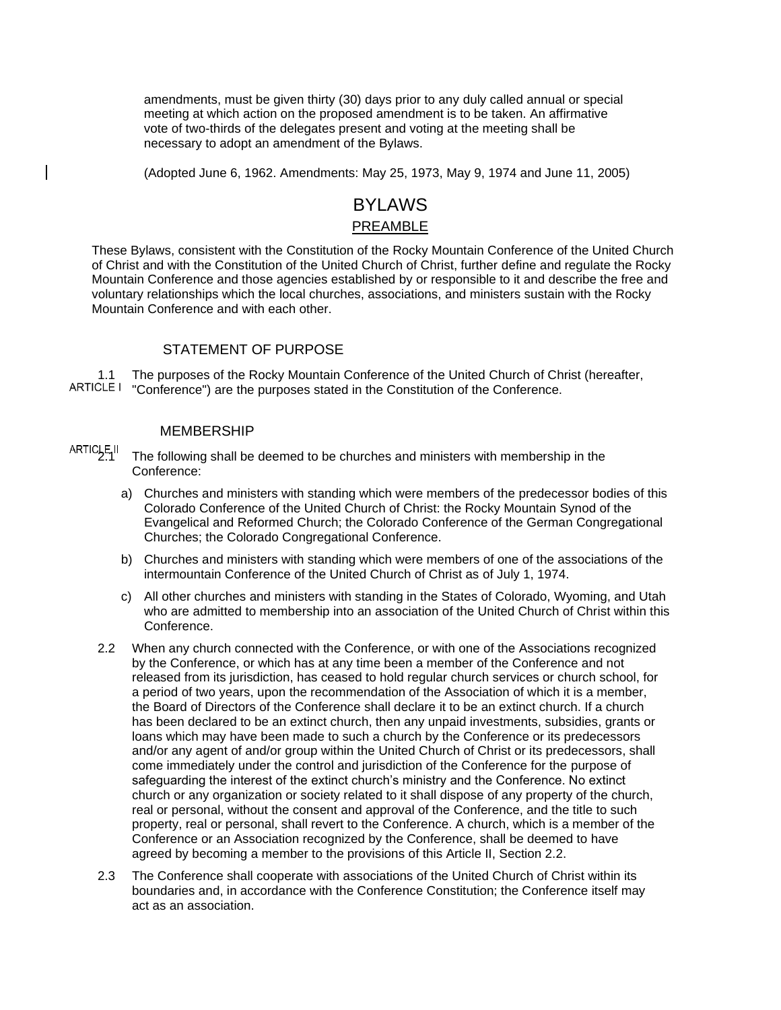amendments, must be given thirty (30) days prior to any duly called annual or special meeting at which action on the proposed amendment is to be taken. An affirmative vote of two-thirds of the delegates present and voting at the meeting shall be necessary to adopt an amendment of the Bylaws.

(Adopted June 6, 1962. Amendments: May 25, 1973, May 9, 1974 and June 11, 2005)

## BYLAWS PREAMBLE

These Bylaws, consistent with the Constitution of the Rocky Mountain Conference of the United Church of Christ and with the Constitution of the United Church of Christ, further define and regulate the Rocky Mountain Conference and those agencies established by or responsible to it and describe the free and voluntary relationships which the local churches, associations, and ministers sustain with the Rocky Mountain Conference and with each other.

### STATEMENT OF PURPOSE

1.1 The purposes of the Rocky Mountain Conference of the United Church of Christ (hereafter, ARTICLE I "Conference") are the purposes stated in the Constitution of the Conference.

#### MEMBERSHIP

ARTICLE II<br>2.1 The following shall be deemed to be churches and ministers with membership in the Conference:

- a) Churches and ministers with standing which were members of the predecessor bodies of this Colorado Conference of the United Church of Christ: the Rocky Mountain Synod of the Evangelical and Reformed Church; the Colorado Conference of the German Congregational Churches; the Colorado Congregational Conference.
- b) Churches and ministers with standing which were members of one of the associations of the intermountain Conference of the United Church of Christ as of July 1, 1974.
- c) All other churches and ministers with standing in the States of Colorado, Wyoming, and Utah who are admitted to membership into an association of the United Church of Christ within this Conference.
- 2.2 When any church connected with the Conference, or with one of the Associations recognized by the Conference, or which has at any time been a member of the Conference and not released from its jurisdiction, has ceased to hold regular church services or church school, for a period of two years, upon the recommendation of the Association of which it is a member, the Board of Directors of the Conference shall declare it to be an extinct church. If a church has been declared to be an extinct church, then any unpaid investments, subsidies, grants or loans which may have been made to such a church by the Conference or its predecessors and/or any agent of and/or group within the United Church of Christ or its predecessors, shall come immediately under the control and jurisdiction of the Conference for the purpose of safeguarding the interest of the extinct church's ministry and the Conference. No extinct church or any organization or society related to it shall dispose of any property of the church, real or personal, without the consent and approval of the Conference, and the title to such property, real or personal, shall revert to the Conference. A church, which is a member of the Conference or an Association recognized by the Conference, shall be deemed to have agreed by becoming a member to the provisions of this Article II, Section 2.2.
- 2.3 The Conference shall cooperate with associations of the United Church of Christ within its boundaries and, in accordance with the Conference Constitution; the Conference itself may act as an association.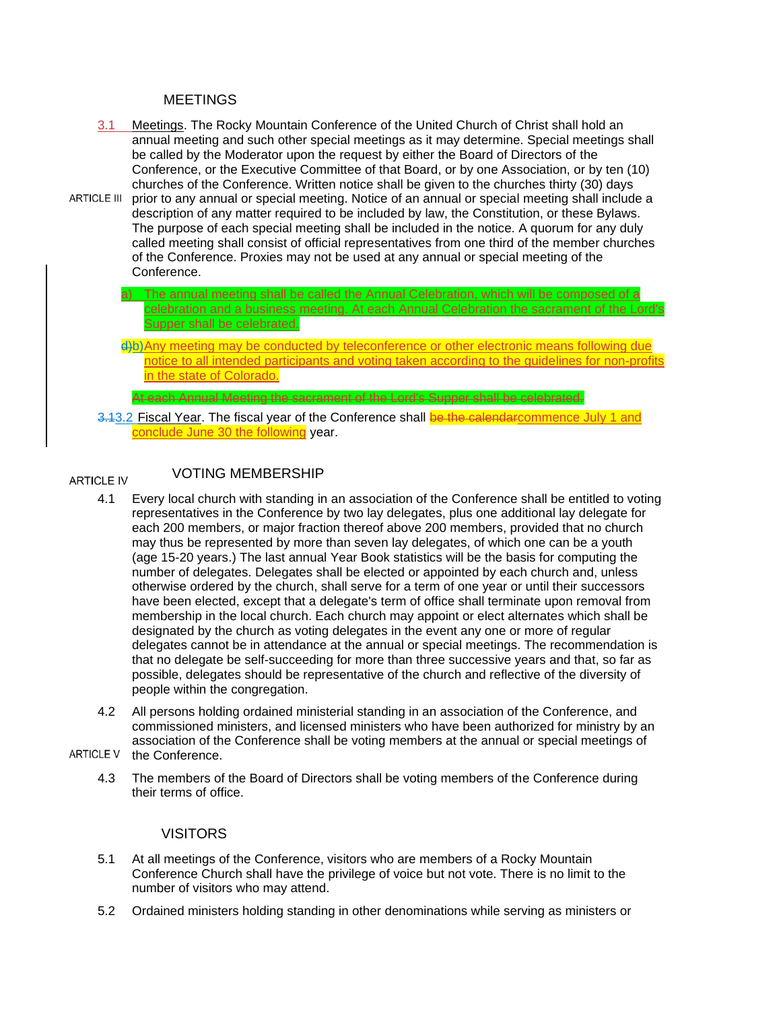#### **MEETINGS**

- 3.1 Meetings. The Rocky Mountain Conference of the United Church of Christ shall hold an annual meeting and such other special meetings as it may determine. Special meetings shall be called by the Moderator upon the request by either the Board of Directors of the Conference, or the Executive Committee of that Board, or by one Association, or by ten (10) churches of the Conference. Written notice shall be given to the churches thirty (30) days
- ARTICLE III prior to any annual or special meeting. Notice of an annual or special meeting shall include a description of any matter required to be included by law, the Constitution, or these Bylaws. The purpose of each special meeting shall be included in the notice. A quorum for any duly called meeting shall consist of official representatives from one third of the member churches of the Conference. Proxies may not be used at any annual or special meeting of the Conference.
	- a) The annual meeting shall be called the Annual Celebration, which will be composed of a celebration and a business meeting. At each Annual Celebration the sacrament of the Lord's Supper shall be celebrated.

d)b)Any meeting may be conducted by teleconference or other electronic means following due notice to all intended participants and voting taken according to the guidelines for non-profits in the state of Colorado.

3.13.2 Fiscal Year. The fiscal year of the Conference shall be the calendarcommence July 1 and conclude June 30 the following year.

At each Annual Meeting the sacrament of the Lord's Supper shall be celebrated.

#### VOTING MEMBERSHIP **ARTICLE IV**

- 4.1 Every local church with standing in an association of the Conference shall be entitled to voting representatives in the Conference by two lay delegates, plus one additional lay delegate for each 200 members, or major fraction thereof above 200 members, provided that no church may thus be represented by more than seven lay delegates, of which one can be a youth (age 15-20 years.) The last annual Year Book statistics will be the basis for computing the number of delegates. Delegates shall be elected or appointed by each church and, unless otherwise ordered by the church, shall serve for a term of one year or until their successors have been elected, except that a delegate's term of office shall terminate upon removal from membership in the local church. Each church may appoint or elect alternates which shall be designated by the church as voting delegates in the event any one or more of regular delegates cannot be in attendance at the annual or special meetings. The recommendation is that no delegate be self-succeeding for more than three successive years and that, so far as possible, delegates should be representative of the church and reflective of the diversity of people within the congregation.
- 4.2 All persons holding ordained ministerial standing in an association of the Conference, and commissioned ministers, and licensed ministers who have been authorized for ministry by an association of the Conference shall be voting members at the annual or special meetings of
- ARTICLE V the Conference.
	- 4.3 The members of the Board of Directors shall be voting members of the Conference during their terms of office.

### **VISITORS**

- 5.1 At all meetings of the Conference, visitors who are members of a Rocky Mountain Conference Church shall have the privilege of voice but not vote. There is no limit to the number of visitors who may attend.
- 5.2 Ordained ministers holding standing in other denominations while serving as ministers or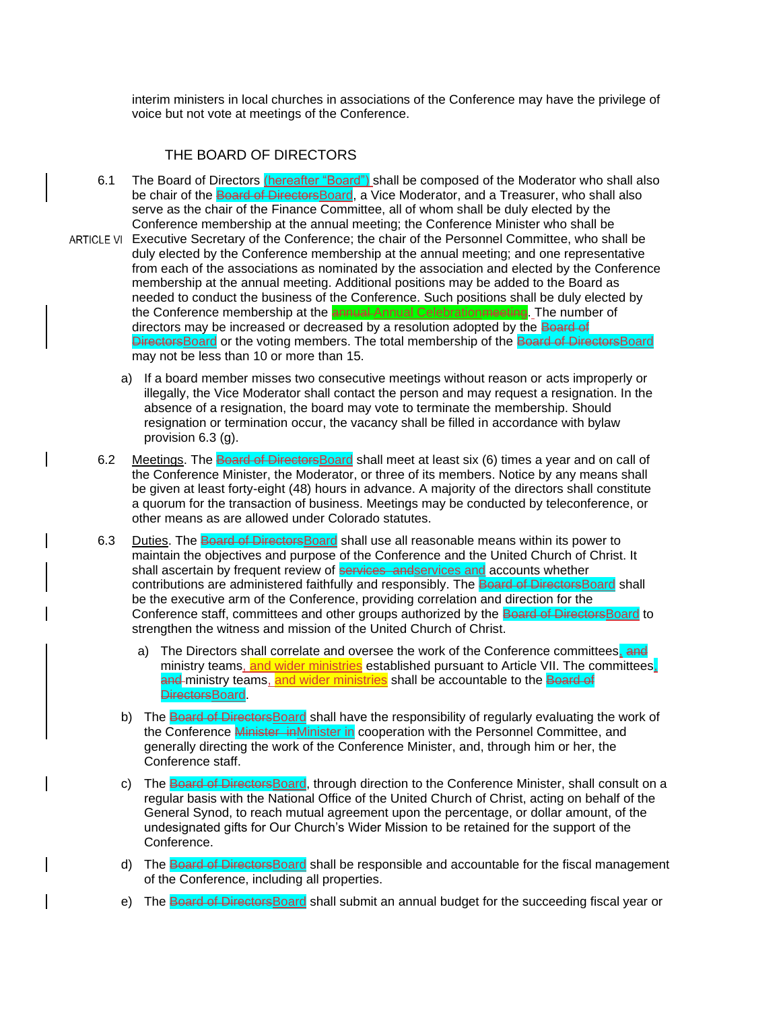interim ministers in local churches in associations of the Conference may have the privilege of voice but not vote at meetings of the Conference.

### THE BOARD OF DIRECTORS

- 6.1 The Board of Directors (hereafter "Board") shall be composed of the Moderator who shall also be chair of the Board of Directors Board, a Vice Moderator, and a Treasurer, who shall also serve as the chair of the Finance Committee, all of whom shall be duly elected by the Conference membership at the annual meeting; the Conference Minister who shall be
- ARTICLE VI Executive Secretary of the Conference; the chair of the Personnel Committee, who shall be duly elected by the Conference membership at the annual meeting; and one representative from each of the associations as nominated by the association and elected by the Conference membership at the annual meeting. Additional positions may be added to the Board as needed to conduct the business of the Conference. Such positions shall be duly elected by the Conference membership at the **annual** Annual Celebration meeting. The number of directors may be increased or decreased by a resolution adopted by the **Board of** DirectorsBoard or the voting members. The total membership of the Board of DirectorsBoard may not be less than 10 or more than 15.
	- a) If a board member misses two consecutive meetings without reason or acts improperly or illegally, the Vice Moderator shall contact the person and may request a resignation. In the absence of a resignation, the board may vote to terminate the membership. Should resignation or termination occur, the vacancy shall be filled in accordance with bylaw provision 6.3 (g).
	- 6.2 Meetings. The Board of Directors Board shall meet at least six (6) times a year and on call of the Conference Minister, the Moderator, or three of its members. Notice by any means shall be given at least forty-eight (48) hours in advance. A majority of the directors shall constitute a quorum for the transaction of business. Meetings may be conducted by teleconference, or other means as are allowed under Colorado statutes.
	- 6.3 Duties. The Board of Directors Board shall use all reasonable means within its power to maintain the objectives and purpose of the Conference and the United Church of Christ. It shall ascertain by frequent review of **services** and services and accounts whether contributions are administered faithfully and responsibly. The Board of DirectorsBoard shall be the executive arm of the Conference, providing correlation and direction for the Conference staff, committees and other groups authorized by the Board of DirectorsBoard to strengthen the witness and mission of the United Church of Christ.
		- a) The Directors shall correlate and oversee the work of the Conference committees, and ministry teams, and wider ministries established pursuant to Article VII. The committees, and ministry teams, and wider ministries shall be accountable to the Board of DirectorsBoard.
		- b) The Board of DirectorsBoard shall have the responsibility of regularly evaluating the work of the Conference Minister inMinister in cooperation with the Personnel Committee, and generally directing the work of the Conference Minister, and, through him or her, the Conference staff.
		- c) The Board of DirectorsBoard, through direction to the Conference Minister, shall consult on a regular basis with the National Office of the United Church of Christ, acting on behalf of the General Synod, to reach mutual agreement upon the percentage, or dollar amount, of the undesignated gifts for Our Church's Wider Mission to be retained for the support of the Conference.
		- d) The Board of DirectorsBoard shall be responsible and accountable for the fiscal management of the Conference, including all properties.
		- e) The Board of DirectorsBoard shall submit an annual budget for the succeeding fiscal year or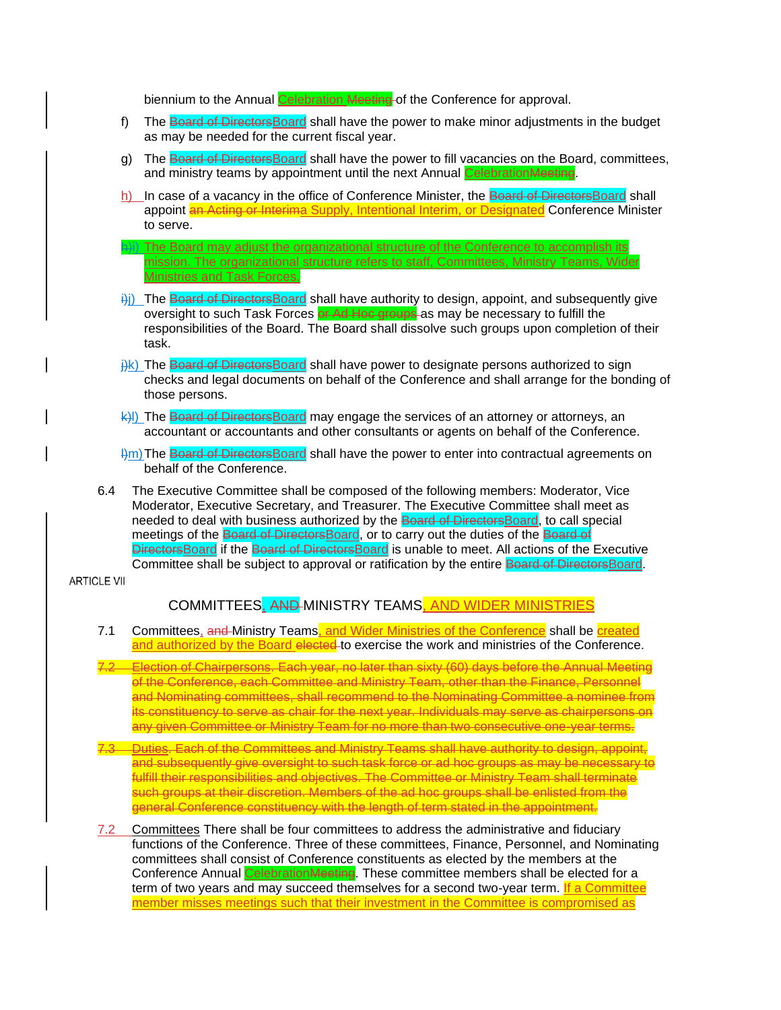biennium to the Annual Celebration Meeting of the Conference for approval.

- f) The Board of DirectorsBoard shall have the power to make minor adjustments in the budget as may be needed for the current fiscal year.
- g) The Board of DirectorsBoard shall have the power to fill vacancies on the Board, committees, and ministry teams by appointment until the next Annual Celebration Meeting.
- h) In case of a vacancy in the office of Conference Minister, the Board of DirectorsBoard shall appoint an Acting or Interima Supply, Intentional Interim, or Designated Conference Minister to serve.
- **Hi)** The Board may adjust the organizational structure of the Conference to accomplish its mission. The organizational structure refers to staff, Committees, Ministry Teams, Wider Ministries and Task Forces.
- $\frac{1}{2}$ ) The Board of DirectorsBoard shall have authority to design, appoint, and subsequently give oversight to such Task Forces or Ad Hoc groups as may be necessary to fulfill the responsibilities of the Board. The Board shall dissolve such groups upon completion of their task.
- $\frac{1}{10}$ k) The Board of DirectorsBoard shall have power to designate persons authorized to sign checks and legal documents on behalf of the Conference and shall arrange for the bonding of those persons.
- k)l) The Board of DirectorsBoard may engage the services of an attorney or attorneys, an accountant or accountants and other consultants or agents on behalf of the Conference.
- $\frac{m}{n}$ The Board of Directors Board shall have the power to enter into contractual agreements on behalf of the Conference.
- 6.4 The Executive Committee shall be composed of the following members: Moderator, Vice Moderator, Executive Secretary, and Treasurer. The Executive Committee shall meet as needed to deal with business authorized by the Board of DirectorsBoard, to call special meetings of the Board of Directors Board, or to carry out the duties of the Board of DirectorsBoard if the Board of DirectorsBoard is unable to meet. All actions of the Executive Committee shall be subject to approval or ratification by the entire Board of DirectorsBoard.

**ARTICLE VII** 

### COMMITTEES, AND MINISTRY TEAMS, AND WIDER MINISTRIES

- 7.1 Committees, and Ministry Teams, and Wider Ministries of the Conference shall be created and authorized by the Board elected to exercise the work and ministries of the Conference.
- 7.2 Election of Chairpersons. Each year, no later than sixty (60) days before the Annual Meeting of the Conference, each Committee and Ministry Team, other than the Finance, Personnel and Nominating committees, shall recommend to the Nominating Committee a nominee from its constituency to serve as chair for the next year. Individuals may serve as chairpersons on any given Committee or Ministry Team for no more than two consecutive one-year terms.
- 7.3 Duties. Each of the Committees and Ministry Teams shall have authority to design, appoint, and subsequently give oversight to such task force or ad hoc groups as may be necessary to fulfill their responsibilities and objectives. The Committee or Ministry Team shall terminate such groups at their discretion. Members of the ad hoc groups shall be enlisted from the general Conference constituency with the length of term stated in the appointment.
- 7.2 Committees There shall be four committees to address the administrative and fiduciary functions of the Conference. Three of these committees, Finance, Personnel, and Nominating committees shall consist of Conference constituents as elected by the members at the Conference Annual CelebrationMeeting. These committee members shall be elected for a term of two years and may succeed themselves for a second two-year term. If a Committee member misses meetings such that their investment in the Committee is compromised as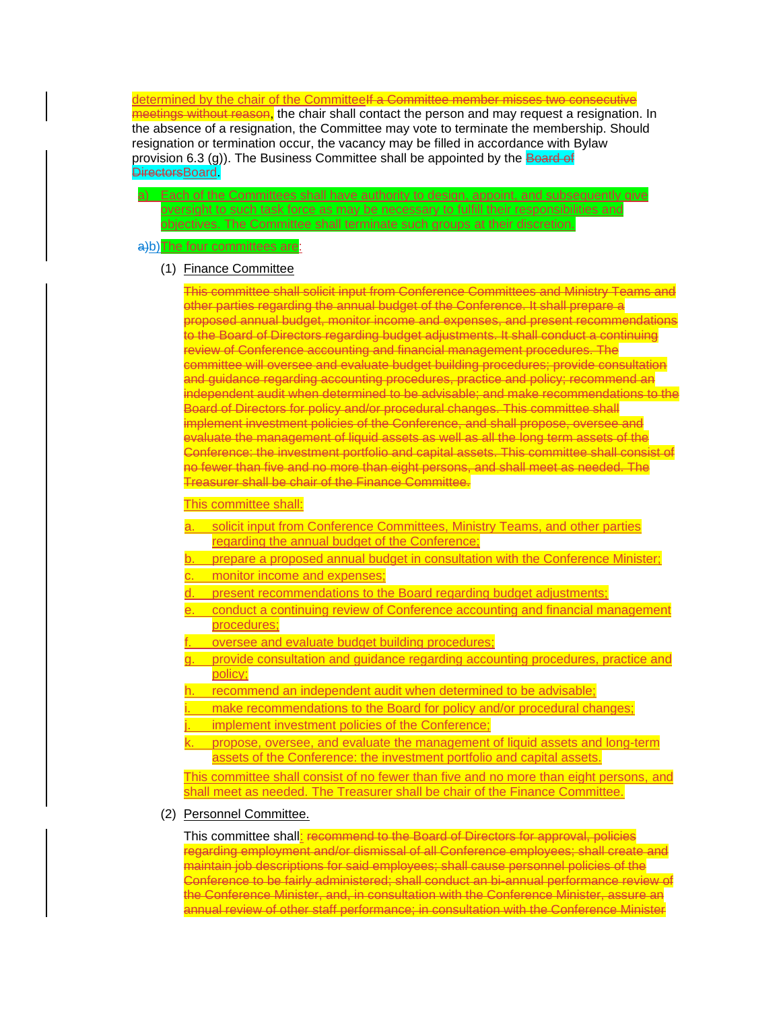determined by the chair of the CommitteeI<del>f a Committee member misses two consecutive</del> meetings without reason, the chair shall contact the person and may request a resignation. In the absence of a resignation, the Committee may vote to terminate the membership. Should resignation or termination occur, the vacancy may be filled in accordance with Bylaw provision 6.3 (g)). The Business Committee shall be appointed by the Board of **DirectorsBoard** 

a) Each of the Committees shall have authority to design, appoint, and subsequently give oversight to such task force as may be necessary to fulfill their responsibilities and objectives. The Committee shall terminate such groups at their discretion.

#### a)b) The four committees are:

#### (1) Finance Committee

This committee shall solicit input from Conference Committees and Ministry Teams and other parties regarding the annual budget of the Conference. It shall prepare a proposed annual budget, monitor income and expenses, and present recommendations to the Board of Directors regarding budget adjustments. It shall conduct a continuing review of Conference accounting and financial management procedures. The committee will oversee and evaluate budget building procedures; provide consultation and guidance regarding accounting procedures, practice and policy; recommend an independent audit when determined to be advisable; and make recommendations to the Board of Directors for policy and/or procedural changes. This committee shall implement investment policies of the Conference, and shall propose, oversee and evaluate the management of liquid assets as well as all the long term assets of the Conference: the investment portfolio and capital assets. This committee shall consist of no fewer than five and no more than eight persons, and shall meet as needed. The Treasurer shall be chair of the Finance Committee.

#### This committee shall:

- a. solicit input from Conference Committees, Ministry Teams, and other parties regarding the annual budget of the Conference;
- b. prepare a proposed annual budget in consultation with the Conference Minister;
- monitor income and expenses;
- present recommendations to the Board regarding budget adjustments;
- e. conduct a continuing review of Conference accounting and financial management procedures;
- oversee and evaluate budget building procedures;
- provide consultation and guidance regarding accounting procedures, practice and policy;
- h. recommend an independent audit when determined to be advisable;
- make recommendations to the Board for policy and/or procedural changes;
- implement investment policies of the Conference;
- propose, oversee, and evaluate the management of liquid assets and long-term assets of the Conference: the investment portfolio and capital assets.

This committee shall consist of no fewer than five and no more than eight persons, and shall meet as needed. The Treasurer shall be chair of the Finance Committee.

#### (2) Personnel Committee.

This committee shall: recommend to the Board of Directors for approval, policies regarding employment and/or dismissal of all Conference employees; shall create and maintain job descriptions for said employees; shall cause personnel policies of the Conference to be fairly administered; shall conduct an bi-annual performance review of the Conference Minister, and, in consultation with the Conference Minister, assure an annual review of other staff performance; in consultation with the Conference Minister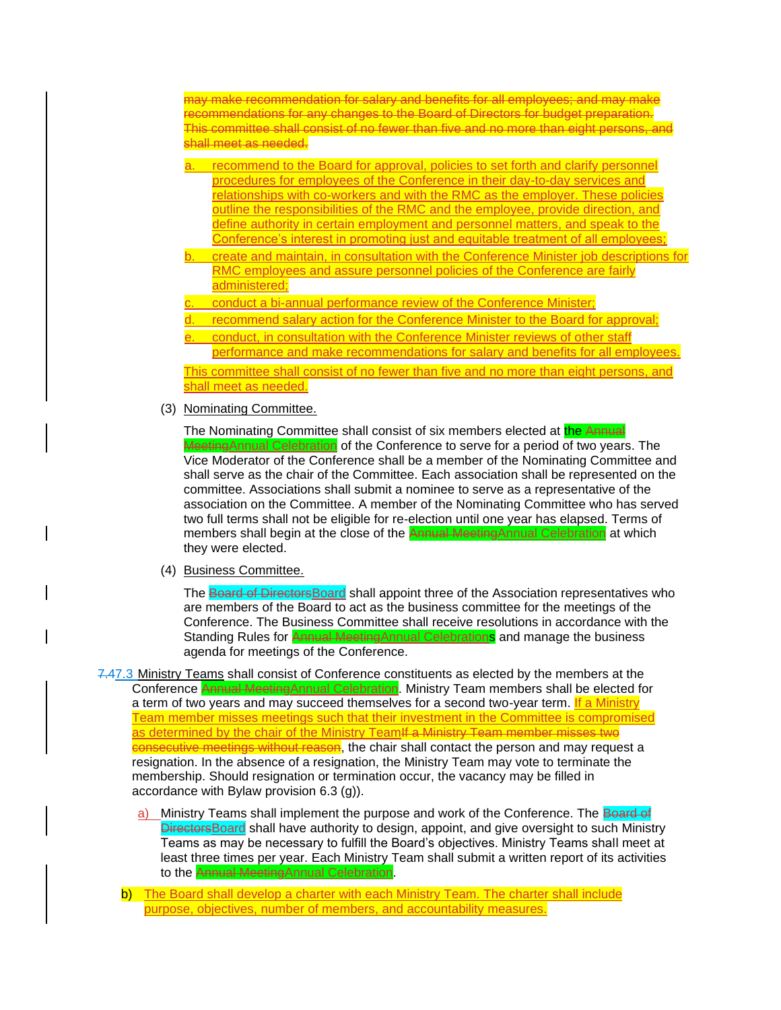may make recommendation for salary and benefits for all employees; and may make recommendations for any changes to the Board of Directors for budget preparation. This committee shall consist of no fewer than five and no more than eight persons, and shall meet as needed.

- a. recommend to the Board for approval, policies to set forth and clarify personnel procedures for employees of the Conference in their day-to-day services and relationships with co-workers and with the RMC as the employer. These policies outline the responsibilities of the RMC and the employee, provide direction, and define authority in certain employment and personnel matters, and speak to the Conference's interest in promoting just and equitable treatment of all employees;
- b. create and maintain, in consultation with the Conference Minister job descriptions for RMC employees and assure personnel policies of the Conference are fairly administered;
- conduct a bi-annual performance review of the Conference Minister;
- recommend salary action for the Conference Minister to the Board for approval;
- conduct, in consultation with the Conference Minister reviews of other staff performance and make recommendations for salary and benefits for all employees.

This committee shall consist of no fewer than five and no more than eight persons, and shall meet as needed.

(3) Nominating Committee.

The Nominating Committee shall consist of six members elected at the Annual MeetingAnnual Celebration of the Conference to serve for a period of two years. The Vice Moderator of the Conference shall be a member of the Nominating Committee and shall serve as the chair of the Committee. Each association shall be represented on the committee. Associations shall submit a nominee to serve as a representative of the association on the Committee. A member of the Nominating Committee who has served two full terms shall not be eligible for re-election until one year has elapsed. Terms of members shall begin at the close of the **Annual MeetingAnnual Celebration** at which they were elected.

(4) Business Committee.

The Board of Directors Board shall appoint three of the Association representatives who are members of the Board to act as the business committee for the meetings of the Conference. The Business Committee shall receive resolutions in accordance with the Standing Rules for **Annual Meeting**Annual Celebrations and manage the business agenda for meetings of the Conference.

- 7.47.3 Ministry Teams shall consist of Conference constituents as elected by the members at the Conference Annual MeetingAnnual Celebration. Ministry Team members shall be elected for a term of two years and may succeed themselves for a second two-year term. If a Ministry Team member misses meetings such that their investment in the Committee is compromised as determined by the chair of the Ministry TeamIf a Ministry Team member misses two consecutive meetings without reason, the chair shall contact the person and may request a resignation. In the absence of a resignation, the Ministry Team may vote to terminate the membership. Should resignation or termination occur, the vacancy may be filled in accordance with Bylaw provision 6.3 (g)).
	- a) Ministry Teams shall implement the purpose and work of the Conference. The **Board of** DirectorsBoard shall have authority to design, appoint, and give oversight to such Ministry Teams as may be necessary to fulfill the Board's objectives. Ministry Teams shall meet at least three times per year. Each Ministry Team shall submit a written report of its activities to the Annual MeetingAnnual Celebration.
	- b) The Board shall develop a charter with each Ministry Team. The charter shall include purpose, objectives, number of members, and accountability measures.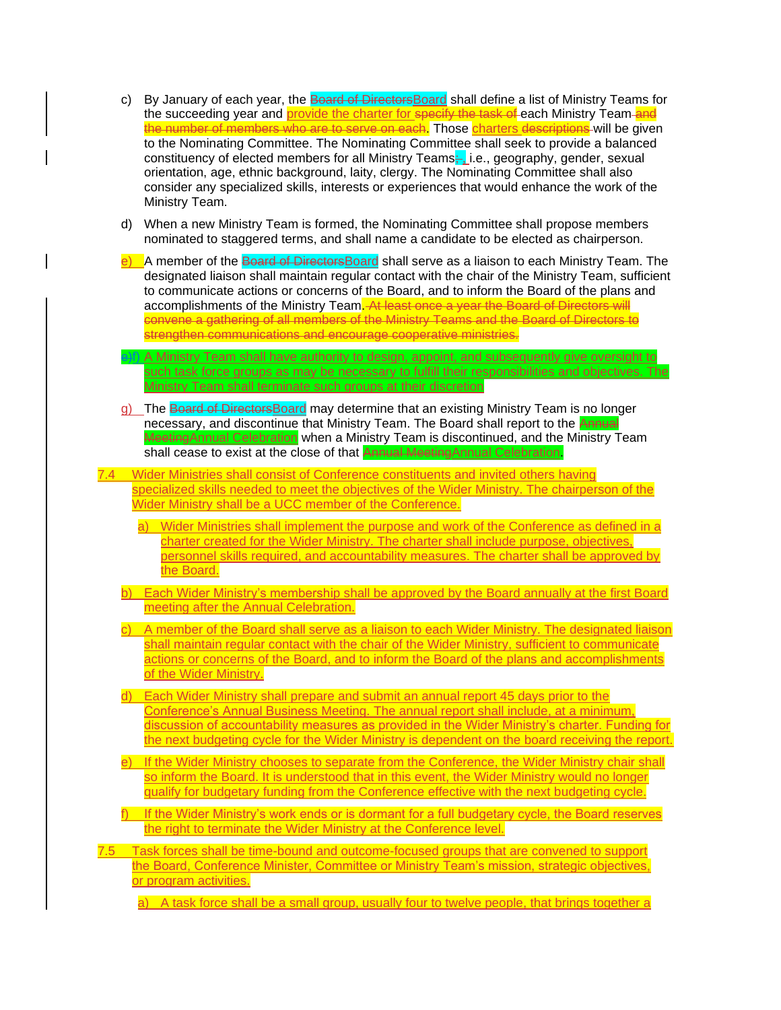| c)   | By January of each year, the Board of Directors Board shall define a list of Ministry Teams for<br>the succeeding year and provide the charter for specify the task of each Ministry Team-and<br>the number of members who are to serve on each. Those charters descriptions will be given                                                                                                                                                                                                                                                            |
|------|-------------------------------------------------------------------------------------------------------------------------------------------------------------------------------------------------------------------------------------------------------------------------------------------------------------------------------------------------------------------------------------------------------------------------------------------------------------------------------------------------------------------------------------------------------|
|      | to the Nominating Committee. The Nominating Committee shall seek to provide a balanced<br>constituency of elected members for all Ministry Teams—i.e., geography, gender, sexual<br>orientation, age, ethnic background, laity, clergy. The Nominating Committee shall also<br>consider any specialized skills, interests or experiences that would enhance the work of the<br>Ministry Team.                                                                                                                                                         |
| d)   | When a new Ministry Team is formed, the Nominating Committee shall propose members<br>nominated to staggered terms, and shall name a candidate to be elected as chairperson.                                                                                                                                                                                                                                                                                                                                                                          |
|      | A member of the Board of Directors Board shall serve as a liaison to each Ministry Team. The<br>designated liaison shall maintain regular contact with the chair of the Ministry Team, sufficient<br>to communicate actions or concerns of the Board, and to inform the Board of the plans and<br>accomplishments of the Ministry Team. At least once a year the Board of Directors will<br>convene a gathering of all members of the Ministry Teams and the Board of Directors to<br>strengthen communications and encourage cooperative ministries. |
|      | A Ministry Team shall have authority to design, appoint, and subsequently give oversight to<br>such task force groups as may be necessary to fulfill their responsibilities and objectives. The<br>Ministry Team shall terminate such groups at their discretion                                                                                                                                                                                                                                                                                      |
|      | The Board of DirectorsBoard may determine that an existing Ministry Team is no longer<br>necessary, and discontinue that Ministry Team. The Board shall report to the Annual<br>Meeting Annual Celebration when a Ministry Team is discontinued, and the Ministry Team<br>shall cease to exist at the close of that <b>Annual Meeting</b> Annual Celebration.                                                                                                                                                                                         |
| 7.4  | Wider Ministries shall consist of Conference constituents and invited others having                                                                                                                                                                                                                                                                                                                                                                                                                                                                   |
|      | specialized skills needed to meet the objectives of the Wider Ministry. The chairperson of the<br>Wider Ministry shall be a UCC member of the Conference.                                                                                                                                                                                                                                                                                                                                                                                             |
|      | Wider Ministries shall implement the purpose and work of the Conference as defined in a<br>a)                                                                                                                                                                                                                                                                                                                                                                                                                                                         |
|      | charter created for the Wider Ministry. The charter shall include purpose, objectives,<br>personnel skills required, and accountability measures. The charter shall be approved by<br>the Board.                                                                                                                                                                                                                                                                                                                                                      |
|      | Each Wider Ministry's membership shall be approved by the Board annually at the first Board<br>meeting after the Annual Celebration.                                                                                                                                                                                                                                                                                                                                                                                                                  |
|      | A member of the Board shall serve as a liaison to each Wider Ministry. The designated liaison<br>shall maintain regular contact with the chair of the Wider Ministry, sufficient to communicate<br>actions or concerns of the Board, and to inform the Board of the plans and accomplishments<br>of the Wider Ministry.                                                                                                                                                                                                                               |
| d)   | Each Wider Ministry shall prepare and submit an annual report 45 days prior to the                                                                                                                                                                                                                                                                                                                                                                                                                                                                    |
|      | Conference's Annual Business Meeting. The annual report shall include, at a minimum,<br>discussion of accountability measures as provided in the Wider Ministry's charter. Funding for<br>the next budgeting cycle for the Wider Ministry is dependent on the board receiving the report.                                                                                                                                                                                                                                                             |
| e) - | If the Wider Ministry chooses to separate from the Conference, the Wider Ministry chair shall<br>so inform the Board. It is understood that in this event, the Wider Ministry would no longer<br>qualify for budgetary funding from the Conference effective with the next budgeting cycle.                                                                                                                                                                                                                                                           |
|      | $f$ If the Wider Ministry's work ends or is dormant for a full budgetary cycle, the Board reserves<br>the right to terminate the Wider Ministry at the Conference level.                                                                                                                                                                                                                                                                                                                                                                              |
| 7.5  | Task forces shall be time-bound and outcome-focused groups that are convened to support<br>the Board, Conference Minister, Committee or Ministry Team's mission, strategic objectives,<br>or program activities.                                                                                                                                                                                                                                                                                                                                      |
|      | a) A task force shall be a small group, usually four to twelve people, that brings together a                                                                                                                                                                                                                                                                                                                                                                                                                                                         |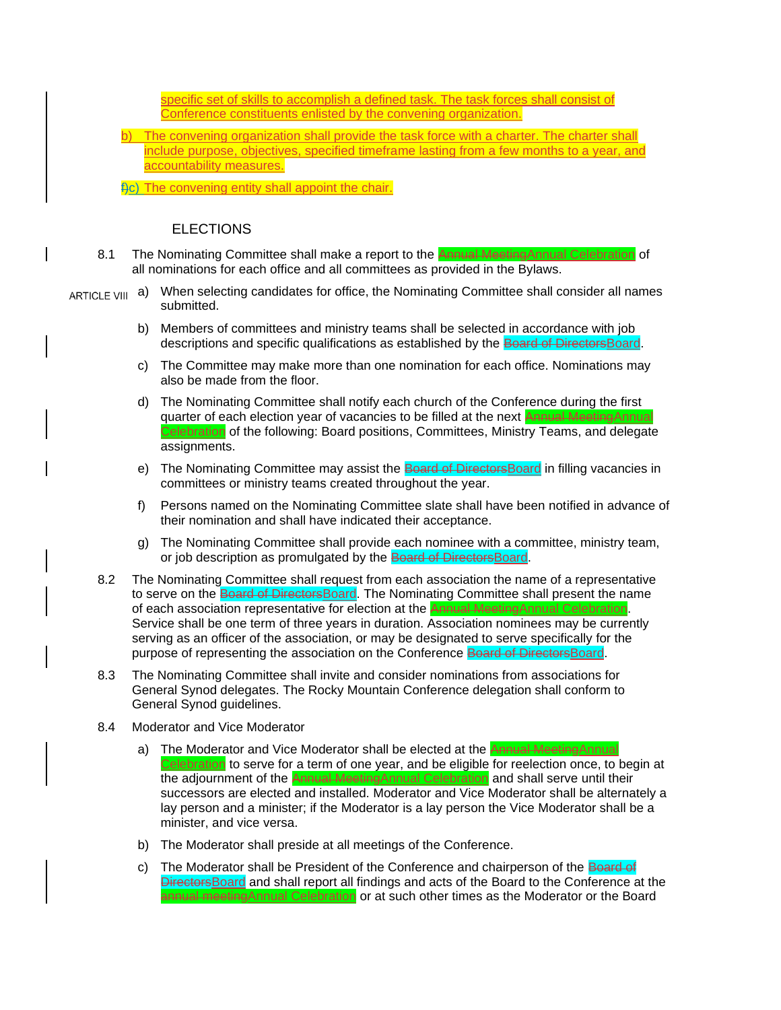

c) The Moderator shall be President of the Conference and chairperson of the Board of DirectorsBoard and shall report all findings and acts of the Board to the Conference at the annual meetingAnnual Celebration or at such other times as the Moderator or the Board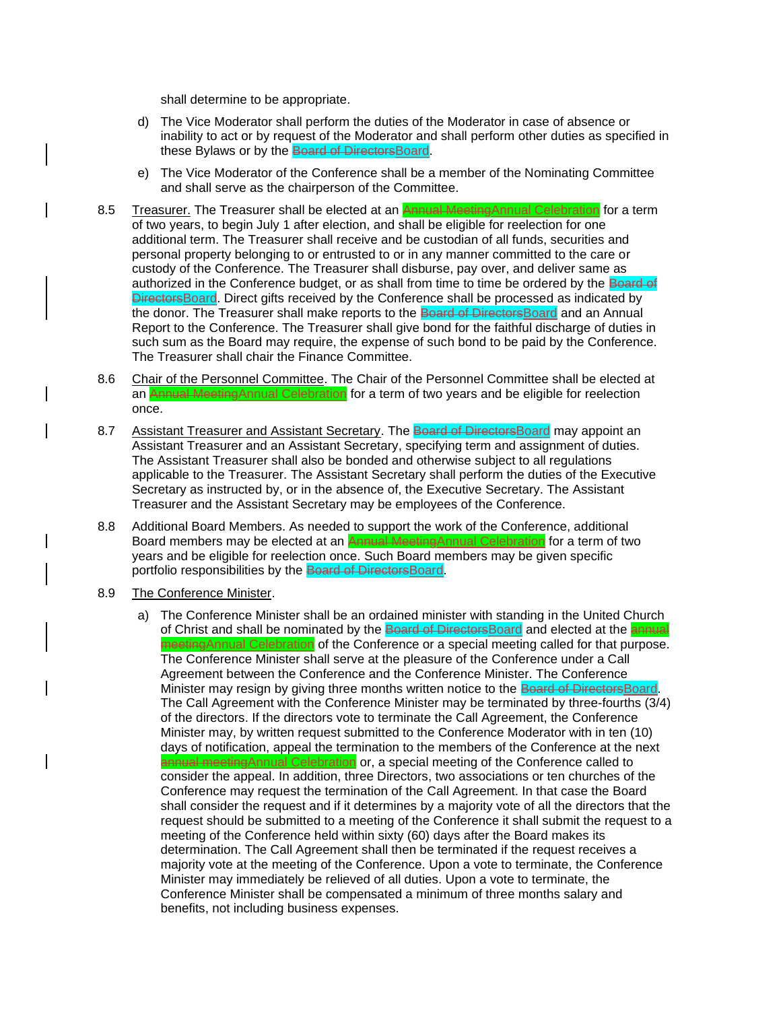shall determine to be appropriate.

- d) The Vice Moderator shall perform the duties of the Moderator in case of absence or inability to act or by request of the Moderator and shall perform other duties as specified in these Bylaws or by the Board of DirectorsBoard.
- e) The Vice Moderator of the Conference shall be a member of the Nominating Committee and shall serve as the chairperson of the Committee.
- 8.5 Treasurer. The Treasurer shall be elected at an **Annual MeetingAnnual Celebration** for a term of two years, to begin July 1 after election, and shall be eligible for reelection for one additional term. The Treasurer shall receive and be custodian of all funds, securities and personal property belonging to or entrusted to or in any manner committed to the care or custody of the Conference. The Treasurer shall disburse, pay over, and deliver same as authorized in the Conference budget, or as shall from time to time be ordered by the Board of DirectorsBoard. Direct gifts received by the Conference shall be processed as indicated by the donor. The Treasurer shall make reports to the Board of DirectorsBoard and an Annual Report to the Conference. The Treasurer shall give bond for the faithful discharge of duties in such sum as the Board may require, the expense of such bond to be paid by the Conference. The Treasurer shall chair the Finance Committee.
- 8.6 Chair of the Personnel Committee. The Chair of the Personnel Committee shall be elected at an Annual MeetingAnnual Celebration for a term of two years and be eligible for reelection once.
- 8.7 Assistant Treasurer and Assistant Secretary. The Board of Directors Board may appoint an Assistant Treasurer and an Assistant Secretary, specifying term and assignment of duties. The Assistant Treasurer shall also be bonded and otherwise subject to all regulations applicable to the Treasurer. The Assistant Secretary shall perform the duties of the Executive Secretary as instructed by, or in the absence of, the Executive Secretary. The Assistant Treasurer and the Assistant Secretary may be employees of the Conference.
- 8.8 Additional Board Members. As needed to support the work of the Conference, additional Board members may be elected at an Annual MeetingAnnual Celebration for a term of two years and be eligible for reelection once. Such Board members may be given specific portfolio responsibilities by the Board of DirectorsBoard.
- 8.9 The Conference Minister.
	- a) The Conference Minister shall be an ordained minister with standing in the United Church of Christ and shall be nominated by the Board of Directors Board and elected at the annual meetingAnnual Celebration of the Conference or a special meeting called for that purpose. The Conference Minister shall serve at the pleasure of the Conference under a Call Agreement between the Conference and the Conference Minister. The Conference Minister may resign by giving three months written notice to the Board of DirectorsBoard. The Call Agreement with the Conference Minister may be terminated by three-fourths (3/4) of the directors. If the directors vote to terminate the Call Agreement, the Conference Minister may, by written request submitted to the Conference Moderator with in ten (10) days of notification, appeal the termination to the members of the Conference at the next annual meetingAnnual Celebration or, a special meeting of the Conference called to

consider the appeal. In addition, three Directors, two associations or ten churches of the Conference may request the termination of the Call Agreement. In that case the Board shall consider the request and if it determines by a majority vote of all the directors that the request should be submitted to a meeting of the Conference it shall submit the request to a meeting of the Conference held within sixty (60) days after the Board makes its determination. The Call Agreement shall then be terminated if the request receives a majority vote at the meeting of the Conference. Upon a vote to terminate, the Conference Minister may immediately be relieved of all duties. Upon a vote to terminate, the Conference Minister shall be compensated a minimum of three months salary and benefits, not including business expenses.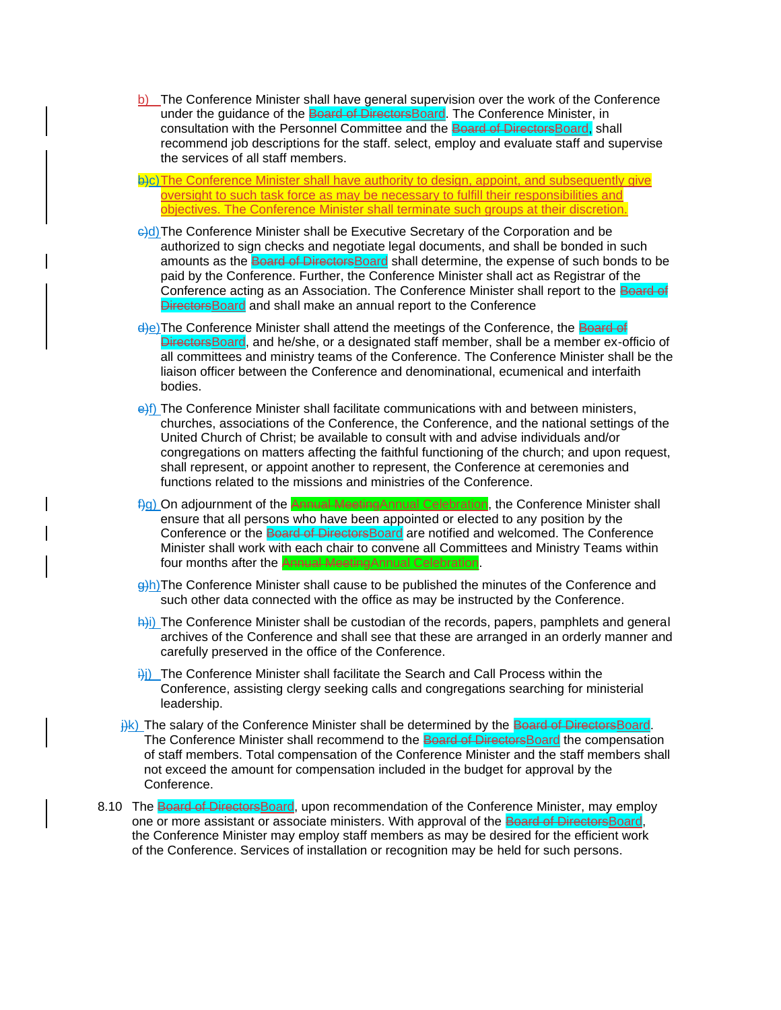b) The Conference Minister shall have general supervision over the work of the Conference under the guidance of the Board of DirectorsBoard. The Conference Minister, in consultation with the Personnel Committee and the Board of DirectorsBoard, shall recommend job descriptions for the staff. select, employ and evaluate staff and supervise the services of all staff members.

b)c) The Conference Minister shall have authority to design, appoint, and subsequently give oversight to such task force as may be necessary to fulfill their responsibilities and objectives. The Conference Minister shall terminate such groups at their discretion.

- e)d) The Conference Minister shall be Executive Secretary of the Corporation and be authorized to sign checks and negotiate legal documents, and shall be bonded in such amounts as the Board of DirectorsBoard shall determine, the expense of such bonds to be paid by the Conference. Further, the Conference Minister shall act as Registrar of the Conference acting as an Association. The Conference Minister shall report to the Board of **DirectorsBoard and shall make an annual report to the Conference**
- d)e)The Conference Minister shall attend the meetings of the Conference, the Board of DirectorsBoard, and he/she, or a designated staff member, shall be a member ex-officio of all committees and ministry teams of the Conference. The Conference Minister shall be the liaison officer between the Conference and denominational, ecumenical and interfaith bodies.
- $\theta$ f) The Conference Minister shall facilitate communications with and between ministers, churches, associations of the Conference, the Conference, and the national settings of the United Church of Christ; be available to consult with and advise individuals and/or congregations on matters affecting the faithful functioning of the church; and upon request, shall represent, or appoint another to represent, the Conference at ceremonies and functions related to the missions and ministries of the Conference.
- f)g) On adjournment of the Annual MeetingAnnual Celebration, the Conference Minister shall ensure that all persons who have been appointed or elected to any position by the Conference or the Board of DirectorsBoard are notified and welcomed. The Conference Minister shall work with each chair to convene all Committees and Ministry Teams within four months after the **Annual Meeting**Annual Celebration.
- g)h)The Conference Minister shall cause to be published the minutes of the Conference and such other data connected with the office as may be instructed by the Conference.
- $\frac{h(i)}{h(i)}$  The Conference Minister shall be custodian of the records, papers, pamphlets and general archives of the Conference and shall see that these are arranged in an orderly manner and carefully preserved in the office of the Conference.
- $\frac{1}{1}$ ) The Conference Minister shall facilitate the Search and Call Process within the Conference, assisting clergy seeking calls and congregations searching for ministerial leadership.
- $\frac{f(k)}{k}$ ) The salary of the Conference Minister shall be determined by the Board of DirectorsBoard. The Conference Minister shall recommend to the Board of DirectorsBoard the compensation of staff members. Total compensation of the Conference Minister and the staff members shall not exceed the amount for compensation included in the budget for approval by the Conference.
- 8.10 The Board of Directors Board, upon recommendation of the Conference Minister, may employ one or more assistant or associate ministers. With approval of the Board of Directors Board, the Conference Minister may employ staff members as may be desired for the efficient work of the Conference. Services of installation or recognition may be held for such persons.